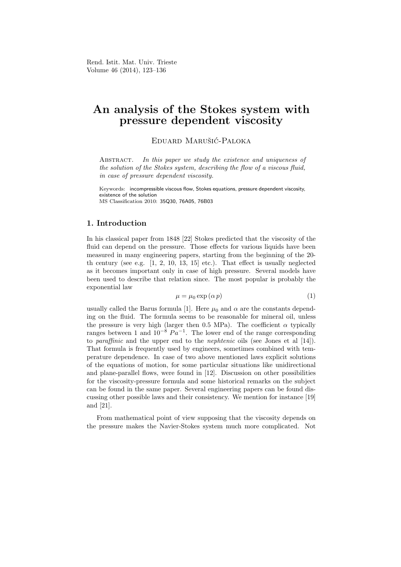# An analysis of the Stokes system with pressure dependent viscosity

EDUARD MARUŠIĆ-PALOKA

ABSTRACT. In this paper we study the existence and uniqueness of the solution of the Stokes system, describing the flow of a viscous fluid, in case of pressure dependent viscosity.

Keywords: incompressible viscous flow, Stokes equations, pressure dependent viscosity, existence of the solution MS Classification 2010: 35Q30, 76A05, 76B03

# 1. Introduction

In his classical paper from 1848 [22] Stokes predicted that the viscosity of the fluid can depend on the pressure. Those effects for various liquids have been measured in many engineering papers, starting from the beginning of the 20 th century (see e.g.  $\left[1, 2, 10, 13, 15\right]$  etc.). That effect is usually neglected as it becomes important only in case of high pressure. Several models have been used to describe that relation since. The most popular is probably the exponential law

$$
\mu = \mu_0 \exp(\alpha p) \tag{1}
$$

usually called the Barus formula [1]. Here  $\mu_0$  and  $\alpha$  are the constants depending on the fluid. The formula seems to be reasonable for mineral oil, unless the pressure is very high (larger then 0.5 MPa). The coefficient  $\alpha$  typically ranges between 1 and  $10^{-8} Pa^{-1}$ . The lower end of the range corresponding to paraffinic and the upper end to the nephtenic oils (see Jones et al [14]). That formula is frequently used by engineers, sometimes combined with temperature dependence. In case of two above mentioned laws explicit solutions of the equations of motion, for some particular situations like unidirectional and plane-parallel flows, were found in [12]. Discussion on other possibilities for the viscosity-pressure formula and some historical remarks on the subject can be found in the same paper. Several engineering papers can be found discussing other possible laws and their consistency. We mention for instance [19] and [21].

From mathematical point of view supposing that the viscosity depends on the pressure makes the Navier-Stokes system much more complicated. Not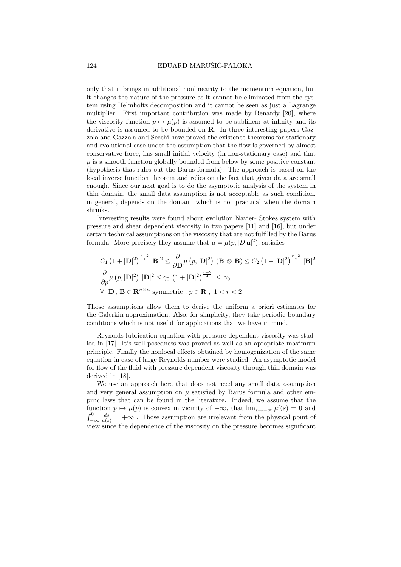only that it brings in additional nonlinearity to the momentum equation, but it changes the nature of the pressure as it cannot be eliminated from the system using Helmholtz decomposition and it cannot be seen as just a Lagrange multiplier. First important contribution was made by Renardy [20], where the viscosity function  $p \mapsto \mu(p)$  is assumed to be sublinear at infinity and its derivative is assumed to be bounded on R. In three interesting papers Gazzola and Gazzola and Secchi have proved the existence theorems for stationary and evolutional case under the assumption that the flow is governed by almost conservative force, has small initial velocity (in non-stationary case) and that  $\mu$  is a smooth function globally bounded from below by some positive constant (hypothesis that rules out the Barus formula). The approach is based on the local inverse function theorem and relies on the fact that given data are small enough. Since our next goal is to do the asymptotic analysis of the system in thin domain, the small data assumption is not acceptable as such condition, in general, depends on the domain, which is not practical when the domain shrinks.

Interesting results were found about evolution Navier- Stokes system with pressure and shear dependent viscosity in two papers [11] and [16], but under certain technical assumptions on the viscosity that are not fulfilled by the Barus formula. More precisely they assume that  $\mu = \mu(p, |D \mathbf{u}|^2)$ , satisfies

$$
C_1 (1+|\mathbf{D}|^2)^{\frac{r-2}{2}} |\mathbf{B}|^2 \leq \frac{\partial}{\partial \mathbf{D}} \mu(p, |\mathbf{D}|^2) \left( \mathbf{B} \otimes \mathbf{B} \right) \leq C_2 \left( 1 + |\mathbf{D}|^2 \right)^{\frac{r-2}{2}} |\mathbf{B}|^2
$$

$$
\frac{\partial}{\partial p} \mu(p, |\mathbf{D}|^2) |\mathbf{D}|^2 \leq \gamma_0 \left( 1 + |\mathbf{D}|^2 \right)^{\frac{r-2}{4}} \leq \gamma_0
$$

$$
\forall \mathbf{D}, \mathbf{B} \in \mathbf{R}^{n \times n} \text{ symmetric}, p \in \mathbf{R}, 1 < r < 2.
$$

Those assumptions allow them to derive the uniform a priori estimates for the Galerkin approximation. Also, for simplicity, they take periodic boundary conditions which is not useful for applications that we have in mind.

Reynolds lubrication equation with pressure dependent viscosity was studied in [17]. It's well-posedness was proved as well as an apropriate maximum principle. Finally the nonlocal effects obtained by homogenization of the same equation in case of large Reynolds number were studied. An asymptotic model for flow of the fluid with pressure dependent viscosity through thin domain was derived in [18].

We use an approach here that does not need any small data assumption and very general assumption on  $\mu$  satisfied by Barus formula and other empiric laws that can be found in the literature. Indeed, we assume that the function  $p \mapsto \mu(p)$  is convex in vicinity of  $-\infty$ , that  $\lim_{s\to -\infty} \mu'(s) = 0$  and  $\int_{-\infty}^{0} \frac{ds}{\mu(s)} = +\infty$ . Those assumption are irrelevant from the physical point of view since the dependence of the viscosity on the pressure becomes significant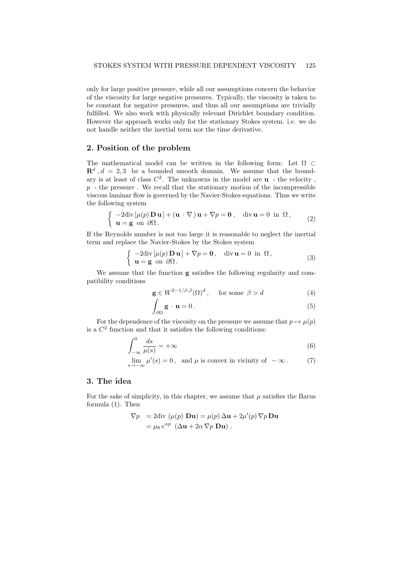only for large positive pressure, while all our assumptions concern the behavior of the viscosity for large negative pressures. Typically, the viscosity is taken to be constant for negative pressures, and thus all our assumptions are trivially fulfilled. We also work with physically relevant Dirichlet boundary condition. However the approach works only for the stationary Stokes system. i.e. we do not handle neither the inertial term nor the time derivative.

# 2. Position of the problem

The mathematical model can be written in the following form: Let  $\Omega \subset$  $\mathbb{R}^d$ ,  $d = 2, 3$  be a bounded smooth domain. We assume that the boundary is at least of class  $C^2$ . The unknowns in the model are  $\bf{u}$  - the velocity,  $p -$  the pressure. We recall that the stationary motion of the incompressible viscous laminar flow is governed by the Navier-Stokes equations. Thus we write the following system

$$
\begin{cases}\n-2\mathrm{div}\left[\mu(p)\,\mathbf{D}\,\mathbf{u}\right] + (\mathbf{u}\cdot\nabla)\,\mathbf{u} + \nabla p = \mathbf{0} \,, & \text{div}\,\mathbf{u} = 0 \text{ in } \Omega \,, \\
\mathbf{u} = \mathbf{g} \text{ on } \partial\Omega \,.\n\end{cases} \tag{2}
$$

If the Reynolds number is not too large it is reasonable to neglect the inertial term and replace the Navier-Stokes by the Stokes system

$$
\begin{cases}\n-2\mathrm{div}\left[\mu(p)\,\mathbf{D}\,\mathbf{u}\right]+\nabla p=\mathbf{0}, & \mathrm{div}\,\mathbf{u}=0 \text{ in } \Omega, \\
\mathbf{u}=\mathbf{g} \text{ on } \partial\Omega.\n\end{cases}
$$
\n(3)

We assume that the function g satisfies the following regularity and compatibility conditions

$$
\mathbf{g} \in W^{2-1/\beta,\beta}(\Omega)^d, \quad \text{for some } \beta > d \tag{4}
$$

$$
\int_{\partial\Omega} \mathbf{g} \cdot \mathbf{n} = 0. \tag{5}
$$

For the dependence of the viscosity on the pressure we assume that  $p \mapsto u(p)$ is a  $C<sup>2</sup>$  function and that it satisfies the following conditions:

$$
\int_{-\infty}^{0} \frac{ds}{\mu(s)} = +\infty \tag{6}
$$

$$
\lim_{s \to -\infty} \mu'(s) = 0, \text{ and } \mu \text{ is convex in vicinity of } -\infty.
$$
 (7)

# 3. The idea

For the sake of simplicity, in this chapter, we assume that  $\mu$  satisfies the Barus formula (1). Then

$$
\nabla p = 2 \text{div} \left( \mu(p) \mathbf{D} \mathbf{u} \right) = \mu(p) \Delta \mathbf{u} + 2 \mu'(p) \nabla p \mathbf{D} \mathbf{u}
$$
  
=  $\mu_0 e^{\alpha p} \left( \Delta \mathbf{u} + 2 \alpha \nabla p \mathbf{D} \mathbf{u} \right).$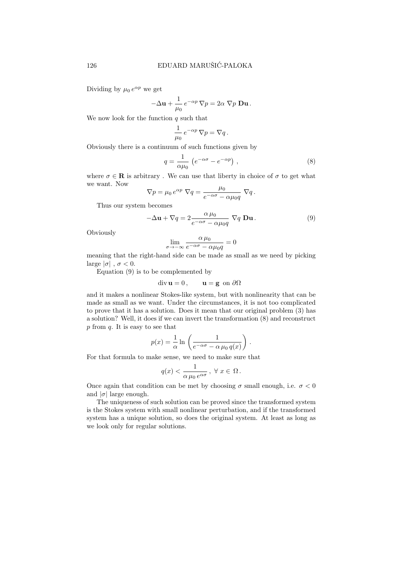Dividing by  $\mu_0 e^{\alpha p}$  we get

$$
-\Delta \mathbf{u} + \frac{1}{\mu_0} e^{-\alpha p} \nabla p = 2\alpha \nabla p \mathbf{D} \mathbf{u}.
$$

We now look for the function  $q$  such that

$$
\frac{1}{\mu_0} e^{-\alpha p} \nabla p = \nabla q.
$$

Obviously there is a continuum of such functions given by

$$
q = \frac{1}{\alpha \mu_0} \left( e^{-\alpha \sigma} - e^{-\alpha p} \right), \qquad (8)
$$

where  $\sigma \in \mathbb{R}$  is arbitrary. We can use that liberty in choice of  $\sigma$  to get what we want. Now

$$
\nabla p = \mu_0 e^{\alpha p} \nabla q = \frac{\mu_0}{e^{-\alpha \sigma} - \alpha \mu_0 q} \nabla q.
$$

Thus our system becomes

$$
-\Delta \mathbf{u} + \nabla q = 2 \frac{\alpha \mu_0}{e^{-\alpha \sigma} - \alpha \mu_0 q} \nabla q \mathbf{D} \mathbf{u}.
$$
 (9)

Obviously

$$
\lim_{\sigma \to -\infty} \frac{\alpha \mu_0}{e^{-\alpha \sigma} - \alpha \mu_0 q} = 0
$$

meaning that the right-hand side can be made as small as we need by picking large  $|\sigma|$ ,  $\sigma < 0$ .

Equation (9) is to be complemented by

$$
\operatorname{div} \mathbf{u} = 0, \qquad \mathbf{u} = \mathbf{g} \text{ on } \partial \Omega
$$

and it makes a nonlinear Stokes-like system, but with nonlinearity that can be made as small as we want. Under the circumstances, it is not too complicated to prove that it has a solution. Does it mean that our original problem (3) has a solution? Well, it does if we can invert the transformation (8) and reconstruct  $p$  from  $q$ . It is easy to see that

$$
p(x) = \frac{1}{\alpha} \ln \left( \frac{1}{e^{-\alpha \sigma} - \alpha \mu_0 q(x)} \right).
$$

For that formula to make sense, we need to make sure that

$$
q(x) < \frac{1}{\alpha \mu_0 e^{\alpha \sigma}}, \ \forall \ x \in \ \Omega.
$$

Once again that condition can be met by choosing  $\sigma$  small enough, i.e.  $\sigma < 0$ and  $|\sigma|$  large enough.

The uniqueness of such solution can be proved since the transformed system is the Stokes system with small nonlinear perturbation, and if the transformed system has a unique solution, so does the original system. At least as long as we look only for regular solutions.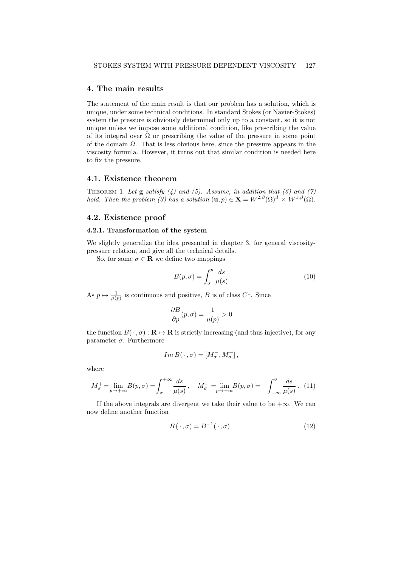#### 4. The main results

The statement of the main result is that our problem has a solution, which is unique, under some technical conditions. In standard Stokes (or Navier-Stokes) system the pressure is obviously determined only up to a constant, so it is not unique unless we impose some additional condition, like prescribing the value of its integral over  $\Omega$  or prescribing the value of the pressure in some point of the domain  $\Omega$ . That is less obvious here, since the pressure appears in the viscosity formula. However, it turns out that similar condition is needed here to fix the pressure.

## 4.1. Existence theorem

THEOREM 1. Let  $g$  satisfy (4) and (5). Assume, in addition that (6) and (7) hold. Then the problem (3) has a solution  $(\mathbf{u}, p) \in \mathbf{X} = W^{2,\beta}(\Omega)^d \times W^{1,\beta}(\Omega)$ .

## 4.2. Existence proof

#### 4.2.1. Transformation of the system

We slightly generalize the idea presented in chapter 3, for general viscositypressure relation, and give all the technical details.

So, for some  $\sigma \in \mathbf{R}$  we define two mappings

$$
B(p, \sigma) = \int_{\sigma}^{p} \frac{ds}{\mu(s)}
$$
 (10)

As  $p \mapsto \frac{1}{\mu(p)}$  is continuous and positive, B is of class  $C^1$ . Since

$$
\frac{\partial B}{\partial p}(p,\sigma) = \frac{1}{\mu(p)} > 0
$$

the function  $B(\cdot, \sigma) : \mathbf{R} \to \mathbf{R}$  is strictly increasing (and thus injective), for any parameter  $\sigma$ . Furthermore

$$
Im B(\,\cdot\,,\sigma)=[M_\sigma^-,M_\sigma^+]\,,
$$

where

$$
M_{\sigma}^{+} = \lim_{p \to +\infty} B(p, \sigma) = \int_{\sigma}^{+\infty} \frac{ds}{\mu(s)}, \quad M_{\sigma}^{-} = \lim_{p \to +\infty} B(p, \sigma) = -\int_{-\infty}^{\sigma} \frac{ds}{\mu(s)}.
$$
 (11)

If the above integrals are divergent we take their value to be  $+\infty$ . We can now define another function

$$
H(\cdot, \sigma) = B^{-1}(\cdot, \sigma). \tag{12}
$$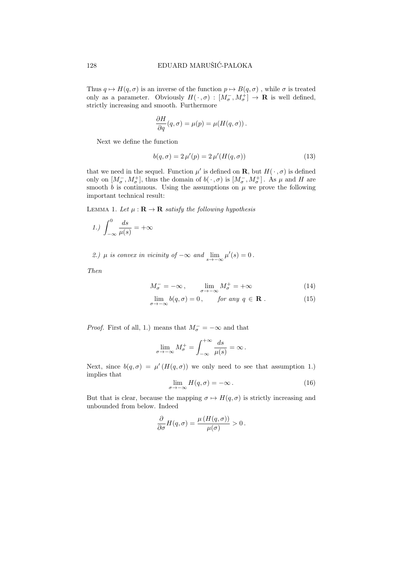Thus  $q \mapsto H(q, \sigma)$  is an inverse of the function  $p \mapsto B(q, \sigma)$ , while  $\sigma$  is treated only as a parameter. Obviously  $H(\cdot, \sigma) : [M_{\sigma}^-, M_{\sigma}^+] \to \mathbf{R}$  is well defined, strictly increasing and smooth. Furthermore

$$
\frac{\partial H}{\partial q}(q,\sigma) = \mu(p) = \mu(H(q,\sigma)).
$$

Next we define the function

$$
b(q, \sigma) = 2 \,\mu'(p) = 2 \,\mu'(H(q, \sigma)) \tag{13}
$$

that we need in the sequel. Function  $\mu'$  is defined on **R**, but  $H(\cdot, \sigma)$  is defined only on  $[M_{\sigma}^-, M_{\sigma}^+]$ , thus the domain of  $b(\cdot, \sigma)$  is  $[M_{\sigma}^-, M_{\sigma}^+]$ . As  $\mu$  and H are smooth b is continuous. Using the assumptions on  $\mu$  we prove the following important technical result:

LEMMA 1. Let  $\mu : \mathbf{R} \to \mathbf{R}$  satisfy the following hypothesis

$$
1.) \int_{-\infty}^{0} \frac{ds}{\mu(s)} = +\infty
$$

2.)  $\mu$  is convex in vicinity of  $-\infty$  and  $\lim_{s\to-\infty} \mu'(s) = 0$ .

Then

$$
M_{\sigma}^{-} = -\infty , \qquad \lim_{\sigma \to -\infty} M_{\sigma}^{+} = +\infty
$$
 (14)

$$
\lim_{\sigma \to -\infty} b(q, \sigma) = 0, \quad \text{for any } q \in \mathbf{R} . \tag{15}
$$

*Proof.* First of all, 1.) means that  $M_{\sigma}^- = -\infty$  and that

$$
\lim_{\sigma \to -\infty} M_{\sigma}^+ = \int_{-\infty}^{+\infty} \frac{ds}{\mu(s)} = \infty.
$$

Next, since  $b(q, \sigma) = \mu'(H(q, \sigma))$  we only need to see that assumption 1.) implies that

$$
\lim_{\sigma \to -\infty} H(q, \sigma) = -\infty. \tag{16}
$$

But that is clear, because the mapping  $\sigma \mapsto H(q, \sigma)$  is strictly increasing and unbounded from below. Indeed

$$
\frac{\partial}{\partial \sigma}H(q,\sigma)=\frac{\mu(H(q,\sigma))}{\mu(\sigma)}>0.
$$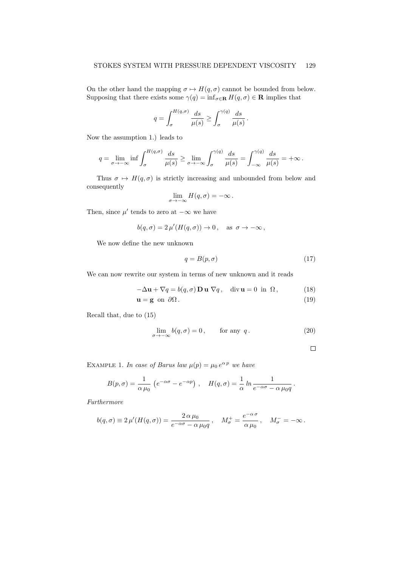On the other hand the mapping  $\sigma \mapsto H(q, \sigma)$  cannot be bounded from below. Supposing that there exists some  $\gamma(q) = \inf_{\sigma \in \mathbf{R}} H(q, \sigma) \in \mathbf{R}$  implies that

$$
q = \int_{\sigma}^{H(q,\sigma)} \frac{ds}{\mu(s)} \ge \int_{\sigma}^{\gamma(q)} \frac{ds}{\mu(s)}.
$$

Now the assumption 1.) leads to

$$
q = \lim_{\sigma \to -\infty} \inf \int_{\sigma}^{H(q,\sigma)} \frac{ds}{\mu(s)} \ge \lim_{\sigma \to -\infty} \int_{\sigma}^{\gamma(q)} \frac{ds}{\mu(s)} = \int_{-\infty}^{\gamma(q)} \frac{ds}{\mu(s)} = +\infty.
$$

Thus  $\sigma \mapsto H(q, \sigma)$  is strictly increasing and unbounded from below and consequently

$$
\lim_{\sigma \to -\infty} H(q, \sigma) = -\infty \, .
$$

Then, since  $\mu'$  tends to zero at  $-\infty$  we have

$$
b(q,\sigma) = 2 \,\mu'(H(q,\sigma)) \to 0 \,, \quad \text{as } \sigma \to -\infty \,,
$$

We now define the new unknown

$$
q = B(p, \sigma) \tag{17}
$$

We can now rewrite our system in terms of new unknown and it reads

$$
-\Delta \mathbf{u} + \nabla q = b(q, \sigma) \mathbf{D} \mathbf{u} \nabla q, \quad \text{div } \mathbf{u} = 0 \text{ in } \Omega,
$$
 (18)

$$
\mathbf{u} = \mathbf{g} \text{ on } \partial\Omega. \tag{19}
$$

Recall that, due to (15)

$$
\lim_{\sigma \to -\infty} b(q, \sigma) = 0, \quad \text{for any } q. \tag{20}
$$

$$
\Box
$$

EXAMPLE 1. In case of Barus law  $\mu(p) = \mu_0 e^{\alpha p}$  we have

$$
B(p,\sigma) = \frac{1}{\alpha \mu_0} \left( e^{-\alpha \sigma} - e^{-\alpha p} \right) , \quad H(q,\sigma) = \frac{1}{\alpha} \ln \frac{1}{e^{-\alpha \sigma} - \alpha \mu_0 q}.
$$

Furthermore

$$
b(q,\sigma) \equiv 2 \,\mu'(H(q,\sigma)) = \frac{2 \,\alpha \,\mu_0}{e^{-\alpha \sigma} - \alpha \,\mu_0 q} \,, \quad M^+_\sigma = \frac{e^{-\alpha \,\sigma}}{\alpha \,\mu_0} \,, \quad M^-_\sigma = -\infty \,.
$$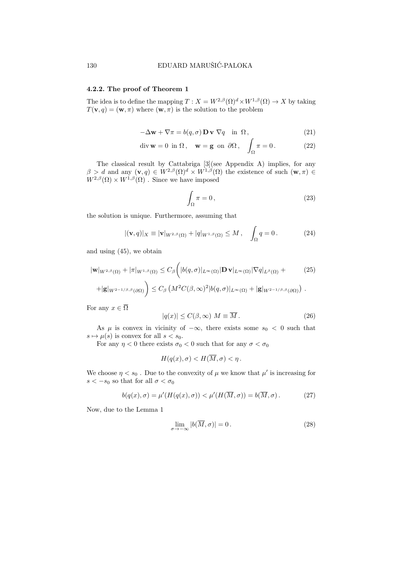#### 4.2.2. The proof of Theorem 1

The idea is to define the mapping  $T : X = W^{2,\beta}(\Omega)^d \times W^{1,\beta}(\Omega) \to X$  by taking  $T(\mathbf{v}, q) = (\mathbf{w}, \pi)$  where  $(\mathbf{w}, \pi)$  is the solution to the problem

$$
-\Delta \mathbf{w} + \nabla \pi = b(q, \sigma) \mathbf{D} \mathbf{v} \nabla q \quad \text{in } \Omega,
$$
\n(21)

$$
\operatorname{div} \mathbf{w} = 0 \text{ in } \Omega, \quad \mathbf{w} = \mathbf{g} \text{ on } \partial \Omega, \quad \int_{\Omega} \pi = 0. \tag{22}
$$

The classical result by Cattabriga [3](see Appendix A) implies, for any  $\beta > d$  and any  $(\mathbf{v}, q) \in W^{2,\beta}(\Omega)^d \times W^{1,\beta}(\Omega)$  the existence of such  $(\mathbf{w}, \pi) \in$  $W^{2,\beta}(\Omega) \times W^{1,\beta}(\Omega)$ . Since we have imposed

$$
\int_{\Omega} \pi = 0, \tag{23}
$$

the solution is unique. Furthermore, assuming that

$$
|(\mathbf{v}, q)|_X \equiv |\mathbf{v}|_{W^{2,\beta}(\Omega)} + |q|_{W^{1,\beta}(\Omega)} \le M \,, \quad \int_{\Omega} q = 0 \,. \tag{24}
$$

and using (45), we obtain

$$
|\mathbf{w}|_{W^{2,\beta}(\Omega)} + |\pi|_{W^{1,\beta}(\Omega)} \leq C_{\beta} \bigg( |b(q,\sigma)|_{L^{\infty}(\Omega)} |\mathbf{D} \mathbf{v}|_{L^{\infty}(\Omega)} |\nabla q|_{L^{\beta}(\Omega)} +
$$
 (25)

$$
+ |\mathbf{g}|_{W^{2-1/\beta,\beta}(\partial\Omega)} \bigg) \leq C_{\beta} \left( M^2 C(\beta,\infty)^2 |b(q,\sigma)|_{L^{\infty}(\Omega)} + |\mathbf{g}|_{W^{2-1/\beta,\beta}(\partial\Omega)} \right).
$$

For any  $x \in \overline{\Omega}$ 

$$
|q(x)| \le C(\beta, \infty) \ M \equiv \overline{M} \ . \tag{26}
$$

As  $\mu$  is convex in vicinity of  $-\infty$ , there exists some  $s_0 < 0$  such that  $s \mapsto \mu(s)$  is convex for all  $s < s_0$ .

For any  $\eta < 0$  there exists  $\sigma_0 < 0$  such that for any  $\sigma < \sigma_0$ 

$$
H(q(x), \sigma) < H(\overline{M}, \sigma) < \eta \, .
$$

We choose  $\eta < s_0$ . Due to the convexity of  $\mu$  we know that  $\mu'$  is increasing for  $s < -s_0$  so that for all  $\sigma < \sigma_0$ 

$$
b(q(x), \sigma) = \mu'(H(q(x), \sigma)) < \mu'(H(\overline{M}, \sigma)) = b(\overline{M}, \sigma). \tag{27}
$$

Now, due to the Lemma 1

$$
\lim_{\sigma \to -\infty} |b(\overline{M}, \sigma)| = 0.
$$
\n(28)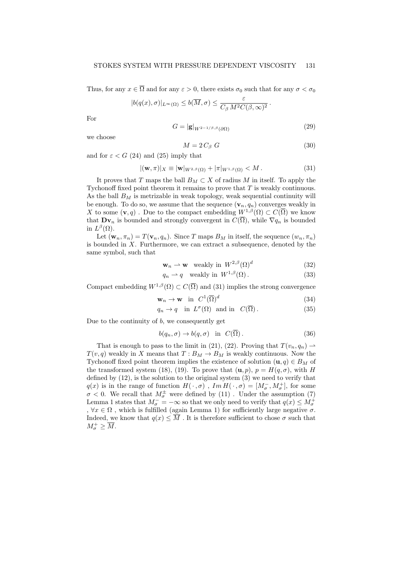Thus, for any  $x \in \overline{\Omega}$  and for any  $\varepsilon > 0$ , there exists  $\sigma_0$  such that for any  $\sigma < \sigma_0$ 

$$
|b(q(x),\sigma)|_{L^{\infty}(\Omega)} \leq b(\overline{M},\sigma) \leq \frac{\varepsilon}{C_{\beta} M^2 C(\beta,\infty)^2}.
$$

For

$$
G = |\mathbf{g}|_{W^{2-1/\beta,\beta}(\partial\Omega)}\tag{29}
$$

we choose

$$
M = 2 C_{\beta} G \tag{30}
$$

and for  $\varepsilon < G$  (24) and (25) imply that

$$
|(\mathbf{w}, \pi)|_X \equiv |\mathbf{w}|_{W^{2,\beta}(\Omega)} + |\pi|_{W^{1,\beta}(\Omega)} < M. \tag{31}
$$

It proves that T maps the ball  $B_M \subset X$  of radius M in itself. To apply the Tychonoff fixed point theorem it remains to prove that T is weakly continuous. As the ball  $B_M$  is metrizable in weak topology, weak sequential continuity will be enough. To do so, we assume that the sequence  $(\mathbf{v}_n, q_n)$  converges weakly in X to some  $(v, q)$ . Due to the compact embedding  $W^{1,\beta}(\Omega) \subset C(\overline{\Omega})$  we know that  $\mathbf{Dv}_n$  is bounded and strongly convergent in  $C(\overline{\Omega})$ , while  $\nabla q_n$  is bounded in  $L^{\beta}(\Omega)$ .

Let  $(\mathbf{w}_n, \pi_n) = T(\mathbf{v}_n, q_n)$ . Since T maps  $B_M$  in itself, the sequence  $(w_n, \pi_n)$ is bounded in  $X$ . Furthermore, we can extract a subsequence, denoted by the same symbol, such that

$$
\mathbf{w}_n \rightharpoonup \mathbf{w} \quad \text{weakly in} \quad W^{2,\beta}(\Omega)^d \tag{32}
$$

$$
q_n \rightharpoonup q \quad \text{weakly in } W^{1,\beta}(\Omega). \tag{33}
$$

Compact embedding  $W^{1,\beta}(\Omega) \subset C(\overline{\Omega})$  and (31) implies the strong convergence

$$
\mathbf{w}_n \to \mathbf{w} \quad \text{in} \quad C^1(\overline{\Omega})^d \tag{34}
$$

$$
q_n \to q \quad \text{in } L^{\sigma}(\Omega) \quad \text{and in } C(\overline{\Omega}). \tag{35}
$$

Due to the continuity of  $b$ , we consequently get

$$
b(q_n, \sigma) \to b(q, \sigma) \quad \text{in} \quad C(\overline{\Omega}). \tag{36}
$$

That is enough to pass to the limit in (21), (22). Proving that  $T(v_n, q_n) \rightharpoonup$  $T(v, q)$  weakly in X means that  $T: B_M \to B_M$  is weakly continuous. Now the Tychonoff fixed point theorem implies the existence of solution  $(\mathbf{u}, q) \in B_M$  of the transformed system (18), (19). To prove that  $(\mathbf{u}, p)$ ,  $p = H(q, \sigma)$ , with H defined by (12), is the solution to the original system (3) we need to verify that  $q(x)$  is in the range of function  $H(\, \cdot\, ,\sigma)$  ,  $Im\,H(\, \cdot\, ,\sigma)$  =  $[M^-_\sigma,M^+_\sigma],$  for some  $\sigma$  < 0. We recall that  $M^{\pm}_{\sigma}$  were defined by (11). Under the assumption (7) Lemma 1 states that  $M_{\sigma}^{-} = -\infty$  so that we only need to verify that  $q(x) \le M_{\sigma}^{+}$ ,  $\forall x \in \Omega$ , which is fulfilled (again Lemma 1) for sufficiently large negative  $\sigma$ . Indeed, we know that  $q(x) \leq \overline{M}$ . It is therefore sufficient to chose  $\sigma$  such that  $M_{\sigma}^+ \geq \overline{M}.$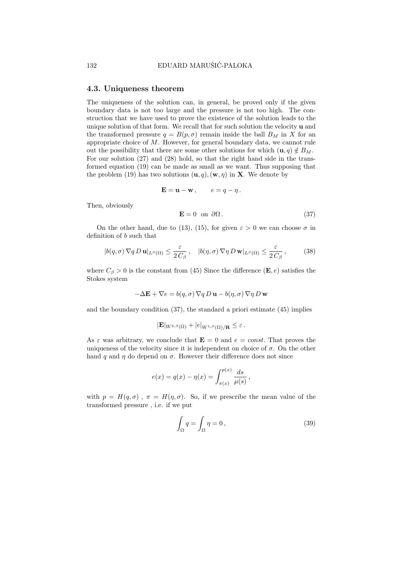#### 4.3. Uniqueness theorem

The uniqueness of the solution can, in general, be proved only if the given boundary data is not too large and the pressure is not too high. The construction that we have used to prove the existence of the solution leads to the unique solution of that form. We recall that for such solution the velocity u and the transformed pressure  $q = B(p, \sigma)$  remain inside the ball  $B_M$  in X for an appropriate choice of M. However, for general boundary data, we cannot rule out the possibility that there are some other solutions for which  $(\mathbf{u}, q) \notin B_M$ . For our solution (27) and (28) hold, so that the right hand side in the transformed equation (19) can be made as small as we want. Thus supposing that the problem (19) has two solutions  $(\mathbf{u}, q)$ ,  $(\mathbf{w}, \eta)$  in **X**. We denote by

$$
\mathbf{E} = \mathbf{u} - \mathbf{w}\,, \qquad e = q - \eta\,.
$$

Then, obviously

$$
\mathbf{E} = 0 \quad \text{on} \quad \partial \Omega \,. \tag{37}
$$

On the other hand, due to (13), (15), for given  $\varepsilon > 0$  we can choose  $\sigma$  in definition of b such that

$$
|b(q,\sigma)\nabla q D \mathbf{u}|_{L^{\beta}(\Omega)} \leq \frac{\varepsilon}{2 C_{\beta}}, \quad |b(\eta,\sigma)\nabla \eta D \mathbf{w}|_{L^{\beta}(\Omega)} \leq \frac{\varepsilon}{2 C_{\beta}}, \quad (38)
$$

where  $C_{\beta} > 0$  is the constant from (45) Since the difference (**E**, *e*) satisfies the Stokes system

$$
-\Delta \mathbf{E} + \nabla e = b(q, \sigma) \nabla q D \mathbf{u} - b(\eta, \sigma) \nabla \eta D \mathbf{w}
$$

and the boundary condition (37), the standard a priori estimate (45) implies

$$
|\mathbf{E}|_{W^{2,\beta}(\Omega)} + |e|_{W^{1,\beta}(\Omega)/\mathbf{R}} \leq \varepsilon.
$$

As  $\varepsilon$  was arbitrary, we conclude that  $\mathbf{E} = 0$  and  $e = const$ . That proves the uniqueness of the velocity since it is independent on choice of  $\sigma$ . On the other hand q and  $\eta$  do depend on  $\sigma$ . However their difference does not since

$$
e(x) = q(x) - \eta(x) = \int_{\pi(x)}^{p(x)} \frac{ds}{\mu(s)},
$$

with  $p = H(q, \sigma)$ ,  $\pi = H(\eta, \sigma)$ . So, if we prescribe the mean value of the transformed pressure , i.e. if we put

$$
\int_{\Omega} q = \int_{\Omega} \eta = 0, \qquad (39)
$$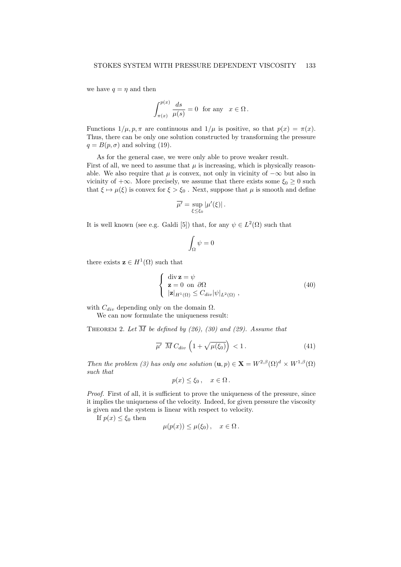we have  $q = \eta$  and then

$$
\int_{\pi(x)}^{p(x)} \frac{ds}{\mu(s)} = 0 \text{ for any } x \in \Omega.
$$

Functions  $1/\mu$ ,  $p$ ,  $\pi$  are continuous and  $1/\mu$  is positive, so that  $p(x) = \pi(x)$ . Thus, there can be only one solution constructed by transforming the pressure  $q = B(p, \sigma)$  and solving (19).

As for the general case, we were only able to prove weaker result. First of all, we need to assume that  $\mu$  is increasing, which is physically reasonable. We also require that  $\mu$  is convex, not only in vicinity of  $-\infty$  but also in vicinity of  $+\infty$ . More precisely, we assume that there exists some  $\xi_0 \geq 0$  such that  $\xi \mapsto \mu(\xi)$  is convex for  $\xi > \xi_0$ . Next, suppose that  $\mu$  is smooth and define

$$
\overline{\mu'} = \sup_{\xi \leq \xi_0} |\mu'(\xi)|.
$$

It is well known (see e.g. Galdi [5]) that, for any  $\psi \in L^2(\Omega)$  such that

$$
\int_{\Omega} \psi = 0
$$

there exists  $\mathbf{z} \in H^1(\Omega)$  such that

$$
\begin{cases} \operatorname{div} \mathbf{z} = \psi \\ \mathbf{z} = 0 \text{ on } \partial \Omega \\ |\mathbf{z}|_{H^{1}(\Omega)} \leq C_{div} |\psi|_{L^{2}(\Omega)}, \end{cases}
$$
\n(40)

with  $C_{dir}$  depending only on the domain  $\Omega$ .

We can now formulate the uniqueness result:

THEOREM 2. Let  $\overline{M}$  be defined by (26), (30) and (29). Assume that

$$
\overline{\mu'} \ \overline{M} C_{div} \left( 1 + \sqrt{\mu(\xi_0)} \right) < 1. \tag{41}
$$

Then the problem (3) has only one solution  $(\mathbf{u}, p) \in \mathbf{X} = W^{2,\beta}(\Omega)^d \times W^{1,\beta}(\Omega)$ such that

$$
p(x) \le \xi_0 \,, \quad x \in \Omega \,.
$$

Proof. First of all, it is sufficient to prove the uniqueness of the pressure, since it implies the uniqueness of the velocity. Indeed, for given pressure the viscosity is given and the system is linear with respect to velocity.

If  $p(x) \leq \xi_0$  then

$$
\mu(p(x)) \leq \mu(\xi_0), \quad x \in \Omega.
$$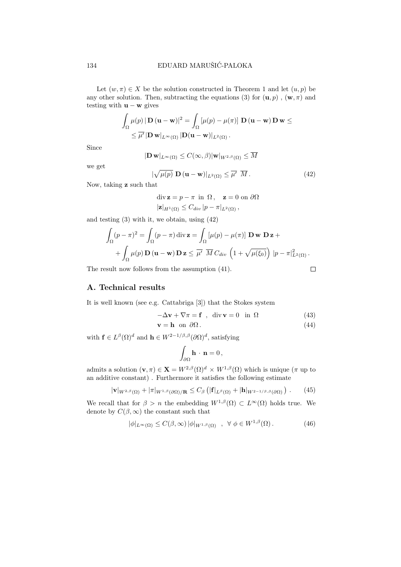Let  $(w, \pi) \in X$  be the solution constructed in Theorem 1 and let  $(u, p)$  be any other solution. Then, subtracting the equations (3) for  $(\mathbf{u}, p)$ ,  $(\mathbf{w}, \pi)$  and testing with  $\mathbf{u} - \mathbf{w}$  gives

$$
\int_{\Omega} \mu(p) |\mathbf{D}(\mathbf{u} - \mathbf{w})|^2 = \int_{\Omega} [\mu(p) - \mu(\pi)] \mathbf{D}(\mathbf{u} - \mathbf{w}) \mathbf{D} \mathbf{w} \le
$$
  
\$\le \overline{\mu'}|\mathbf{D} \mathbf{w}|\_{L^{\infty}(\Omega)} |\mathbf{D}(\mathbf{u} - \mathbf{w})|\_{L^2(\Omega)}.\$

Since

$$
|{\bf{D}}\,{\bf{w}}|_{L^\infty(\Omega)}\le C(\infty,\beta)|{\bf{w}}|_{W^{2,\beta}(\Omega)}\le \overline{M}
$$

we get

$$
|\sqrt{\mu(p)} \mathbf{D}(\mathbf{u} - \mathbf{w})|_{L^2(\Omega)} \leq \overline{\mu'} \overline{M}.
$$
 (42)

Now, taking z such that

$$
\operatorname{div} \mathbf{z} = p - \pi \text{ in } \Omega, \quad \mathbf{z} = 0 \text{ on } \partial \Omega
$$

$$
|\mathbf{z}|_{H^1(\Omega)} \le C_{div} |p - \pi|_{L^2(\Omega)},
$$

and testing (3) with it, we obtain, using (42)

$$
\int_{\Omega} (p - \pi)^2 = \int_{\Omega} (p - \pi) \operatorname{div} \mathbf{z} = \int_{\Omega} [\mu(p) - \mu(\pi)] \mathbf{D} \mathbf{w} \mathbf{D} \mathbf{z} +
$$

$$
+ \int_{\Omega} \mu(p) \mathbf{D} (\mathbf{u} - \mathbf{w}) \mathbf{D} \mathbf{z} \leq \overline{\mu'} \overline{M} C_{div} \left( 1 + \sqrt{\mu(\xi_0)} \right) |p - \pi|_{L^2(\Omega)}^2.
$$

The result now follows from the assumption (41).

 $\Box$ 

# A. Technical results

It is well known (see e.g. Cattabriga [3]) that the Stokes system

$$
-\Delta \mathbf{v} + \nabla \pi = \mathbf{f} \quad , \quad \text{div } \mathbf{v} = 0 \quad \text{in } \Omega \tag{43}
$$

$$
\mathbf{v} = \mathbf{h} \quad \text{on} \quad \partial \Omega \,. \tag{44}
$$

with  $\mathbf{f} \in L^{\beta}(\Omega)^d$  and  $\mathbf{h} \in W^{2-1/\beta,\beta}(\partial \Omega)^d$ , satisfying

$$
\int_{\partial\Omega} \mathbf{h} \cdot \mathbf{n} = 0 \,,
$$

admits a solution  $(\mathbf{v}, \pi) \in \mathbf{X} = W^{2,\beta}(\Omega)^d \times W^{1,\beta}(\Omega)$  which is unique  $(\pi$  up to an additive constant) . Furthermore it satisfies the following estimate

$$
|\mathbf{v}|_{W^{2,\beta}(\Omega)} + |\pi|_{W^{1,\beta}(\partial\Omega)/\mathbf{R}} \leq C_{\beta} \left( |\mathbf{f}|_{L^{\beta}(\Omega)} + |\mathbf{h}|_{W^{2-1/\beta,\beta}(\partial\Omega)} \right). \tag{45}
$$

We recall that for  $\beta > n$  the embedding  $W^{1,\beta}(\Omega) \subset L^{\infty}(\Omega)$  holds true. We denote by  $C(\beta, \infty)$  the constant such that

$$
|\phi|_{L^{\infty}(\Omega)} \le C(\beta, \infty) |\phi|_{W^{1,\beta}(\Omega)}, \quad \forall \phi \in W^{1,\beta}(\Omega). \tag{46}
$$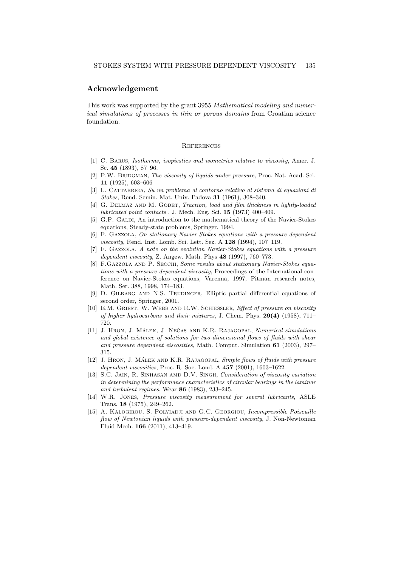## Acknowledgement

This work was supported by the grant 3955 Mathematical modeling and numerical simulations of processes in thin or porous domains from Croatian science foundation.

#### **REFERENCES**

- [1] C. Barus, Isotherms, isopiestics and isometrics relative to viscosity, Amer. J. Sc. 45 (1893), 87–96.
- [2] P.W. BRIDGMAN, The viscosity of liquids under pressure, Proc. Nat. Acad. Sci. 11 (1925), 603–606
- [3] L. Cattabriga, Su un problema al contorno relativo al sistema di equazioni di Stokes, Rend. Semin. Mat. Univ. Padova 31 (1961), 308–340.
- [4] G. DELMAZ AND M. GODET, *Traction, load and film thickness in lightly-loaded* lubricated point contacts , J. Mech. Eng. Sci. 15 (1973) 400–409.
- [5] G.P. GALDI, An introduction to the mathematical theory of the Navier-Stokes equations, Steady-state problems, Springer, 1994.
- [6] F. Gazzola, On stationary Navier-Stokes equations with a pressure dependent viscosity, Rend. Inst. Lomb. Sci. Lett. Sez. A 128 (1994), 107–119.
- [7] F. Gazzola, A note on the evolution Navier-Stokes equations with a pressure dependent viscosity, Z. Angew. Math. Phys  $48$  (1997), 760–773.
- [8] F.GAZZOLA AND P. SECCHI, Some results about stationary Navier-Stokes equations with a pressure-dependent viscosity, Proceedings of the International conference on Navier-Stokes equations, Varenna, 1997, Pitman research notes, Math. Ser. 388, 1998, 174–183.
- [9] D. GILBARG AND N.S. TRUDINGER, Elliptic partial differential equations of second order, Springer, 2001.
- [10] E.M. GRIEST, W. WEBB AND R.W. SCHIESSLER, Effect of pressure on viscosity of higher hydrocarbons and their mixtures, J. Chem. Phys. 29(4) (1958), 711– 720.
- [11] J. HRON, J. MÁLEK, J. NEČAS AND K.R. RAJAGOPAL, Numerical simulations and global existence of solutions for two-dimensional flows of fluids with shear and pressure dependent viscosities, Math. Comput. Simulation 61 (2003), 297– 315.
- [12] J. HRON, J. MÁLEK AND K.R. RAJAGOPAL, Simple flows of fluids with pressure dependent viscosities, Proc. R. Soc. Lond. A 457 (2001), 1603–1622.
- [13] S.C. Jain, R. Sinhasan amd D.V. Singh, Consideration of viscosity variation in determining the performance characteristics of circular bearings in the laminar and turbulent regimes, Wear 86 (1983), 233–245.
- [14] W.R. Jones, Pressure viscosity measurement for several lubricants, ASLE Trans. 18 (1975), 249–262.
- [15] A. KALOGIROU, S. POLYIADJI AND G.C. GEORGIOU, *Incompressible Poiseuille* flow of Newtonian liquids with pressure-dependent viscosity, J. Non-Newtonian Fluid Mech. 166 (2011), 413–419.